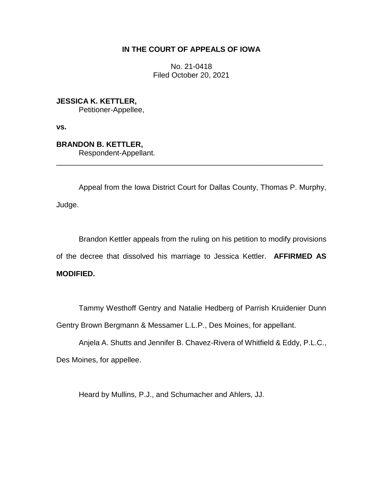# **IN THE COURT OF APPEALS OF IOWA**

No. 21-0418 Filed October 20, 2021

**JESSICA K. KETTLER,** Petitioner-Appellee,

**vs.**

**BRANDON B. KETTLER,** Respondent-Appellant. \_\_\_\_\_\_\_\_\_\_\_\_\_\_\_\_\_\_\_\_\_\_\_\_\_\_\_\_\_\_\_\_\_\_\_\_\_\_\_\_\_\_\_\_\_\_\_\_\_\_\_\_\_\_\_\_\_\_\_\_\_\_\_\_

Appeal from the Iowa District Court for Dallas County, Thomas P. Murphy, Judge.

Brandon Kettler appeals from the ruling on his petition to modify provisions of the decree that dissolved his marriage to Jessica Kettler. **AFFIRMED AS MODIFIED.**

Tammy Westhoff Gentry and Natalie Hedberg of Parrish Kruidenier Dunn Gentry Brown Bergmann & Messamer L.L.P., Des Moines, for appellant.

Anjela A. Shutts and Jennifer B. Chavez-Rivera of Whitfield & Eddy, P.L.C., Des Moines, for appellee.

Heard by Mullins, P.J., and Schumacher and Ahlers, JJ.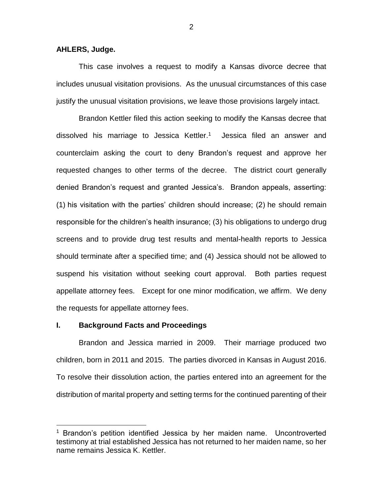### **AHLERS, Judge.**

This case involves a request to modify a Kansas divorce decree that includes unusual visitation provisions. As the unusual circumstances of this case justify the unusual visitation provisions, we leave those provisions largely intact.

Brandon Kettler filed this action seeking to modify the Kansas decree that dissolved his marriage to Jessica Kettler. <sup>1</sup> Jessica filed an answer and counterclaim asking the court to deny Brandon's request and approve her requested changes to other terms of the decree. The district court generally denied Brandon's request and granted Jessica's. Brandon appeals, asserting: (1) his visitation with the parties' children should increase; (2) he should remain responsible for the children's health insurance; (3) his obligations to undergo drug screens and to provide drug test results and mental-health reports to Jessica should terminate after a specified time; and (4) Jessica should not be allowed to suspend his visitation without seeking court approval. Both parties request appellate attorney fees. Except for one minor modification, we affirm. We deny the requests for appellate attorney fees.

#### **I. Background Facts and Proceedings**

 $\overline{a}$ 

Brandon and Jessica married in 2009. Their marriage produced two children, born in 2011 and 2015. The parties divorced in Kansas in August 2016. To resolve their dissolution action, the parties entered into an agreement for the distribution of marital property and setting terms for the continued parenting of their

2

<sup>&</sup>lt;sup>1</sup> Brandon's petition identified Jessica by her maiden name. Uncontroverted testimony at trial established Jessica has not returned to her maiden name, so her name remains Jessica K. Kettler.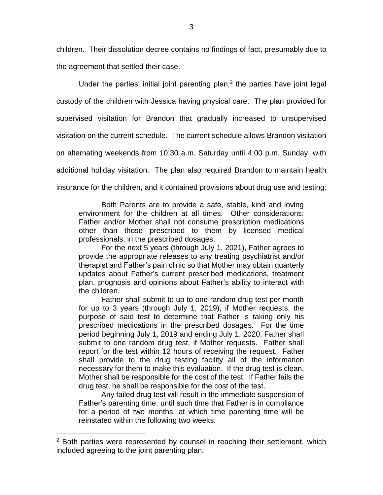children. Their dissolution decree contains no findings of fact, presumably due to the agreement that settled their case.

Under the parties' initial joint parenting plan, $2$  the parties have joint legal custody of the children with Jessica having physical care. The plan provided for supervised visitation for Brandon that gradually increased to unsupervised visitation on the current schedule. The current schedule allows Brandon visitation on alternating weekends from 10:30 a.m. Saturday until 4:00 p.m. Sunday, with additional holiday visitation. The plan also required Brandon to maintain health insurance for the children, and it contained provisions about drug use and testing:

Both Parents are to provide a safe, stable, kind and loving environment for the children at all times. Other considerations: Father and/or Mother shall not consume prescription medications other than those prescribed to them by licensed medical professionals, in the prescribed dosages.

For the next 5 years (through July 1, 2021), Father agrees to provide the appropriate releases to any treating psychiatrist and/or therapist and Father's pain clinic so that Mother may obtain quarterly updates about Father's current prescribed medications, treatment plan, prognosis and opinions about Father's ability to interact with the children.

Father shall submit to up to one random drug test per month for up to 3 years (through July 1, 2019), if Mother requests, the purpose of said test to determine that Father is taking only his prescribed medications in the prescribed dosages. For the time period beginning July 1, 2019 and ending July 1, 2020, Father shall submit to one random drug test, if Mother requests. Father shall report for the test within 12 hours of receiving the request. Father shall provide to the drug testing facility all of the information necessary for them to make this evaluation. If the drug test is clean, Mother shall be responsible for the cost of the test. If Father fails the drug test, he shall be responsible for the cost of the test.

Any failed drug test will result in the immediate suspension of Father's parenting time, until such time that Father is in compliance for a period of two months, at which time parenting time will be reinstated within the following two weeks.

 $\overline{a}$ 

<sup>&</sup>lt;sup>2</sup> Both parties were represented by counsel in reaching their settlement, which included agreeing to the joint parenting plan.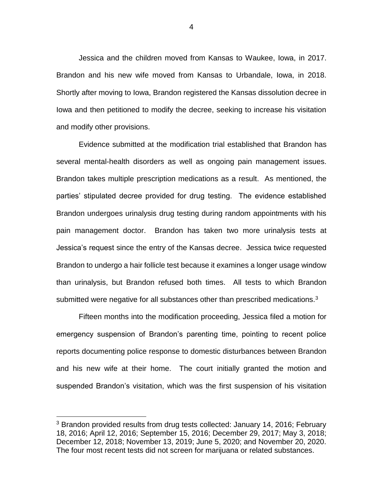Jessica and the children moved from Kansas to Waukee, Iowa, in 2017. Brandon and his new wife moved from Kansas to Urbandale, Iowa, in 2018. Shortly after moving to Iowa, Brandon registered the Kansas dissolution decree in Iowa and then petitioned to modify the decree, seeking to increase his visitation and modify other provisions.

Evidence submitted at the modification trial established that Brandon has several mental-health disorders as well as ongoing pain management issues. Brandon takes multiple prescription medications as a result. As mentioned, the parties' stipulated decree provided for drug testing. The evidence established Brandon undergoes urinalysis drug testing during random appointments with his pain management doctor. Brandon has taken two more urinalysis tests at Jessica's request since the entry of the Kansas decree. Jessica twice requested Brandon to undergo a hair follicle test because it examines a longer usage window than urinalysis, but Brandon refused both times. All tests to which Brandon submitted were negative for all substances other than prescribed medications. $3$ 

Fifteen months into the modification proceeding, Jessica filed a motion for emergency suspension of Brandon's parenting time, pointing to recent police reports documenting police response to domestic disturbances between Brandon and his new wife at their home. The court initially granted the motion and suspended Brandon's visitation, which was the first suspension of his visitation

 $\overline{a}$ 

<sup>&</sup>lt;sup>3</sup> Brandon provided results from drug tests collected: January 14, 2016; February 18, 2016; April 12, 2016; September 15, 2016; December 29, 2017; May 3, 2018; December 12, 2018; November 13, 2019; June 5, 2020; and November 20, 2020. The four most recent tests did not screen for marijuana or related substances.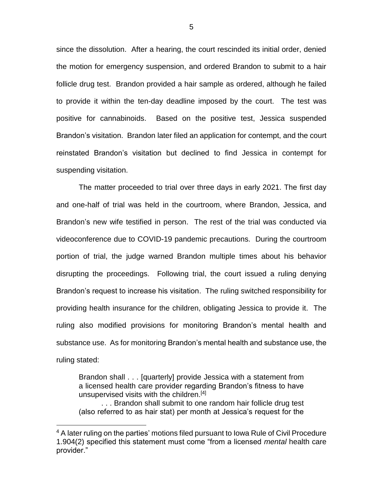since the dissolution. After a hearing, the court rescinded its initial order, denied the motion for emergency suspension, and ordered Brandon to submit to a hair follicle drug test. Brandon provided a hair sample as ordered, although he failed to provide it within the ten-day deadline imposed by the court. The test was positive for cannabinoids. Based on the positive test, Jessica suspended Brandon's visitation. Brandon later filed an application for contempt, and the court reinstated Brandon's visitation but declined to find Jessica in contempt for suspending visitation.

The matter proceeded to trial over three days in early 2021. The first day and one-half of trial was held in the courtroom, where Brandon, Jessica, and Brandon's new wife testified in person. The rest of the trial was conducted via videoconference due to COVID-19 pandemic precautions. During the courtroom portion of trial, the judge warned Brandon multiple times about his behavior disrupting the proceedings. Following trial, the court issued a ruling denying Brandon's request to increase his visitation. The ruling switched responsibility for providing health insurance for the children, obligating Jessica to provide it. The ruling also modified provisions for monitoring Brandon's mental health and substance use. As for monitoring Brandon's mental health and substance use, the ruling stated:

Brandon shall . . . [quarterly] provide Jessica with a statement from a licensed health care provider regarding Brandon's fitness to have unsupervised visits with the children.<sup>[4]</sup>

. . . Brandon shall submit to one random hair follicle drug test (also referred to as hair stat) per month at Jessica's request for the

 $\overline{a}$ 

<sup>&</sup>lt;sup>4</sup> A later ruling on the parties' motions filed pursuant to Iowa Rule of Civil Procedure 1.904(2) specified this statement must come "from a licensed *mental* health care provider."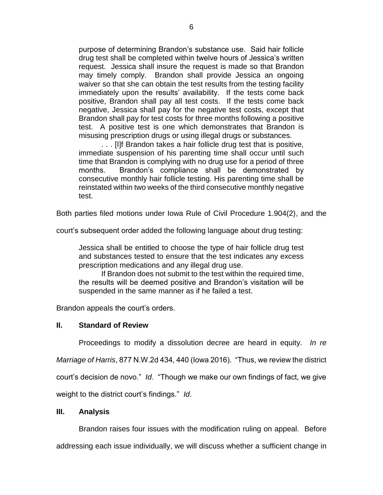purpose of determining Brandon's substance use. Said hair follicle drug test shall be completed within twelve hours of Jessica's written request. Jessica shall insure the request is made so that Brandon may timely comply. Brandon shall provide Jessica an ongoing waiver so that she can obtain the test results from the testing facility immediately upon the results' availability. If the tests come back positive, Brandon shall pay all test costs. If the tests come back negative, Jessica shall pay for the negative test costs, except that Brandon shall pay for test costs for three months following a positive test. A positive test is one which demonstrates that Brandon is misusing prescription drugs or using illegal drugs or substances.

. . . [I]f Brandon takes a hair follicle drug test that is positive, immediate suspension of his parenting time shall occur until such time that Brandon is complying with no drug use for a period of three months. Brandon's compliance shall be demonstrated by consecutive monthly hair follicle testing. His parenting time shall be reinstated within two weeks of the third consecutive monthly negative test.

Both parties filed motions under Iowa Rule of Civil Procedure 1.904(2), and the

court's subsequent order added the following language about drug testing:

Jessica shall be entitled to choose the type of hair follicle drug test and substances tested to ensure that the test indicates any excess prescription medications and any illegal drug use.

If Brandon does not submit to the test within the required time, the results will be deemed positive and Brandon's visitation will be suspended in the same manner as if he failed a test.

Brandon appeals the court's orders.

## **II. Standard of Review**

Proceedings to modify a dissolution decree are heard in equity. *In re* 

*Marriage of Harris*, 877 N.W.2d 434, 440 (Iowa 2016). "Thus, we review the district

court's decision de novo." *Id*. "Though we make our own findings of fact, we give

weight to the district court's findings." *Id*.

## **III. Analysis**

Brandon raises four issues with the modification ruling on appeal. Before addressing each issue individually, we will discuss whether a sufficient change in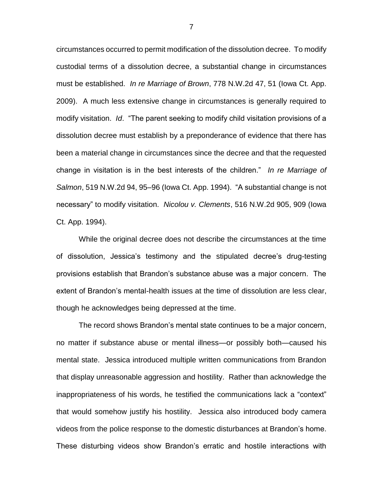circumstances occurred to permit modification of the dissolution decree. To modify custodial terms of a dissolution decree, a substantial change in circumstances must be established. *In re Marriage of Brown*, 778 N.W.2d 47, 51 (Iowa Ct. App. 2009). A much less extensive change in circumstances is generally required to modify visitation. *Id*. "The parent seeking to modify child visitation provisions of a dissolution decree must establish by a preponderance of evidence that there has been a material change in circumstances since the decree and that the requested change in visitation is in the best interests of the children." *In re Marriage of Salmon*, 519 N.W.2d 94, 95–96 (Iowa Ct. App. 1994). "A substantial change is not necessary" to modify visitation. *Nicolou v. Clements*, 516 N.W.2d 905, 909 (Iowa Ct. App. 1994).

While the original decree does not describe the circumstances at the time of dissolution, Jessica's testimony and the stipulated decree's drug-testing provisions establish that Brandon's substance abuse was a major concern. The extent of Brandon's mental-health issues at the time of dissolution are less clear, though he acknowledges being depressed at the time.

The record shows Brandon's mental state continues to be a major concern, no matter if substance abuse or mental illness—or possibly both—caused his mental state. Jessica introduced multiple written communications from Brandon that display unreasonable aggression and hostility. Rather than acknowledge the inappropriateness of his words, he testified the communications lack a "context" that would somehow justify his hostility. Jessica also introduced body camera videos from the police response to the domestic disturbances at Brandon's home. These disturbing videos show Brandon's erratic and hostile interactions with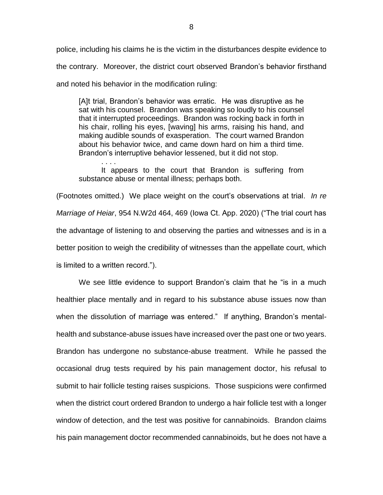police, including his claims he is the victim in the disturbances despite evidence to the contrary. Moreover, the district court observed Brandon's behavior firsthand and noted his behavior in the modification ruling:

[A]t trial, Brandon's behavior was erratic. He was disruptive as he sat with his counsel. Brandon was speaking so loudly to his counsel that it interrupted proceedings. Brandon was rocking back in forth in his chair, rolling his eyes, [waving] his arms, raising his hand, and making audible sounds of exasperation. The court warned Brandon about his behavior twice, and came down hard on him a third time. Brandon's interruptive behavior lessened, but it did not stop.

It appears to the court that Brandon is suffering from substance abuse or mental illness; perhaps both.

. . . .

(Footnotes omitted.) We place weight on the court's observations at trial. *In re Marriage of Heiar*, 954 N.W2d 464, 469 (Iowa Ct. App. 2020) ("The trial court has the advantage of listening to and observing the parties and witnesses and is in a better position to weigh the credibility of witnesses than the appellate court, which is limited to a written record.").

We see little evidence to support Brandon's claim that he "is in a much healthier place mentally and in regard to his substance abuse issues now than when the dissolution of marriage was entered." If anything, Brandon's mentalhealth and substance-abuse issues have increased over the past one or two years. Brandon has undergone no substance-abuse treatment. While he passed the occasional drug tests required by his pain management doctor, his refusal to submit to hair follicle testing raises suspicions. Those suspicions were confirmed when the district court ordered Brandon to undergo a hair follicle test with a longer window of detection, and the test was positive for cannabinoids. Brandon claims his pain management doctor recommended cannabinoids, but he does not have a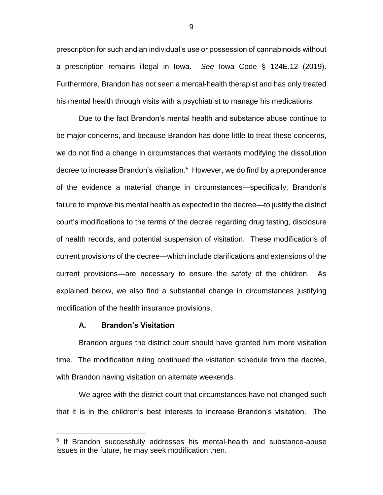prescription for such and an individual's use or possession of cannabinoids without a prescription remains illegal in Iowa. *See* Iowa Code § 124E.12 (2019). Furthermore, Brandon has not seen a mental-health therapist and has only treated his mental health through visits with a psychiatrist to manage his medications.

Due to the fact Brandon's mental health and substance abuse continue to be major concerns, and because Brandon has done little to treat these concerns, we do not find a change in circumstances that warrants modifying the dissolution decree to increase Brandon's visitation. 5 However, we do find by a preponderance of the evidence a material change in circumstances—specifically, Brandon's failure to improve his mental health as expected in the decree—to justify the district court's modifications to the terms of the decree regarding drug testing, disclosure of health records, and potential suspension of visitation. These modifications of current provisions of the decree—which include clarifications and extensions of the current provisions—are necessary to ensure the safety of the children. As explained below, we also find a substantial change in circumstances justifying modification of the health insurance provisions.

#### **A. Brandon's Visitation**

 $\overline{a}$ 

Brandon argues the district court should have granted him more visitation time. The modification ruling continued the visitation schedule from the decree, with Brandon having visitation on alternate weekends.

We agree with the district court that circumstances have not changed such that it is in the children's best interests to increase Brandon's visitation. The

9

<sup>&</sup>lt;sup>5</sup> If Brandon successfully addresses his mental-health and substance-abuse issues in the future, he may seek modification then.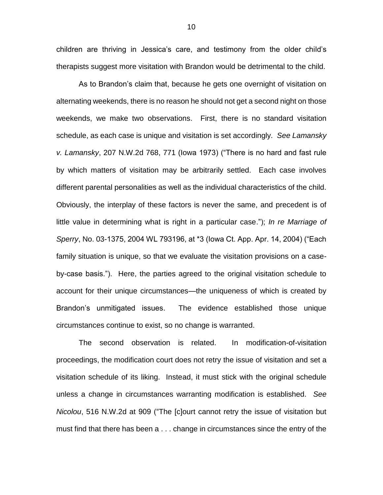children are thriving in Jessica's care, and testimony from the older child's therapists suggest more visitation with Brandon would be detrimental to the child.

As to Brandon's claim that, because he gets one overnight of visitation on alternating weekends, there is no reason he should not get a second night on those weekends, we make two observations. First, there is no standard visitation schedule, as each case is unique and visitation is set accordingly. *See Lamansky v. Lamansky*, 207 N.W.2d 768, 771 (Iowa 1973) ("There is no hard and fast rule by which matters of visitation may be arbitrarily settled. Each case involves different parental personalities as well as the individual characteristics of the child. Obviously, the interplay of these factors is never the same, and precedent is of little value in determining what is right in a particular case."); *In re Marriage of Sperry*, No. 03-1375, 2004 WL 793196, at \*3 (Iowa Ct. App. Apr. 14, 2004) ("Each family situation is unique, so that we evaluate the visitation provisions on a caseby-case basis."). Here, the parties agreed to the original visitation schedule to account for their unique circumstances—the uniqueness of which is created by Brandon's unmitigated issues. The evidence established those unique circumstances continue to exist, so no change is warranted.

The second observation is related. In modification-of-visitation proceedings, the modification court does not retry the issue of visitation and set a visitation schedule of its liking. Instead, it must stick with the original schedule unless a change in circumstances warranting modification is established. *See Nicolou*, 516 N.W.2d at 909 ("The [c]ourt cannot retry the issue of visitation but must find that there has been a . . . change in circumstances since the entry of the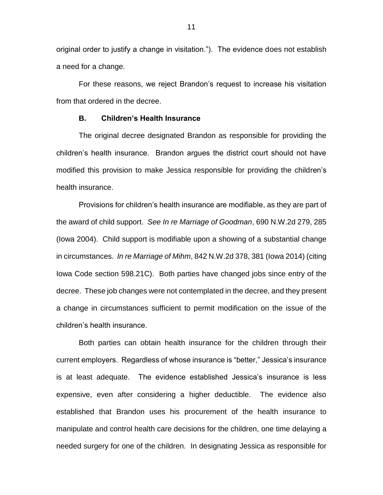original order to justify a change in visitation."). The evidence does not establish a need for a change.

For these reasons, we reject Brandon's request to increase his visitation from that ordered in the decree.

## **B. Children's Health Insurance**

The original decree designated Brandon as responsible for providing the children's health insurance. Brandon argues the district court should not have modified this provision to make Jessica responsible for providing the children's health insurance.

Provisions for children's health insurance are modifiable, as they are part of the award of child support. *See In re Marriage of Goodman*, 690 N.W.2d 279, 285 (Iowa 2004). Child support is modifiable upon a showing of a substantial change in circumstances. *In re Marriage of Mihm*, 842 N.W.2d 378, 381 (Iowa 2014) (citing Iowa Code section 598.21C). Both parties have changed jobs since entry of the decree. These job changes were not contemplated in the decree, and they present a change in circumstances sufficient to permit modification on the issue of the children's health insurance.

Both parties can obtain health insurance for the children through their current employers. Regardless of whose insurance is "better," Jessica's insurance is at least adequate. The evidence established Jessica's insurance is less expensive, even after considering a higher deductible. The evidence also established that Brandon uses his procurement of the health insurance to manipulate and control health care decisions for the children, one time delaying a needed surgery for one of the children. In designating Jessica as responsible for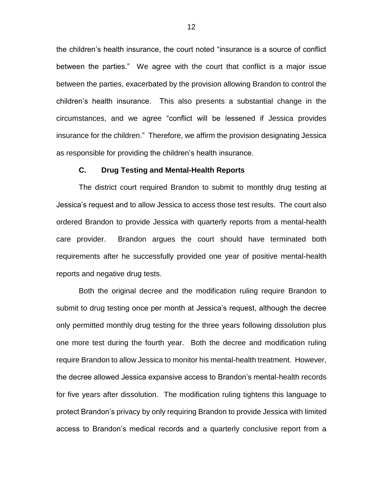the children's health insurance, the court noted "insurance is a source of conflict between the parties." We agree with the court that conflict is a major issue between the parties, exacerbated by the provision allowing Brandon to control the children's health insurance. This also presents a substantial change in the circumstances, and we agree "conflict will be lessened if Jessica provides insurance for the children." Therefore, we affirm the provision designating Jessica as responsible for providing the children's health insurance.

#### **C. Drug Testing and Mental-Health Reports**

The district court required Brandon to submit to monthly drug testing at Jessica's request and to allow Jessica to access those test results. The court also ordered Brandon to provide Jessica with quarterly reports from a mental-health care provider. Brandon argues the court should have terminated both requirements after he successfully provided one year of positive mental-health reports and negative drug tests.

Both the original decree and the modification ruling require Brandon to submit to drug testing once per month at Jessica's request, although the decree only permitted monthly drug testing for the three years following dissolution plus one more test during the fourth year. Both the decree and modification ruling require Brandon to allow Jessica to monitor his mental-health treatment. However, the decree allowed Jessica expansive access to Brandon's mental-health records for five years after dissolution. The modification ruling tightens this language to protect Brandon's privacy by only requiring Brandon to provide Jessica with limited access to Brandon's medical records and a quarterly conclusive report from a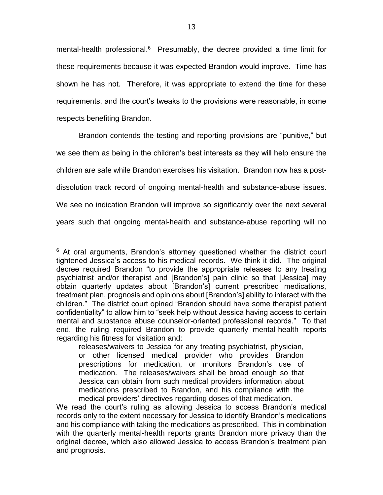mental-health professional.<sup>6</sup> Presumably, the decree provided a time limit for these requirements because it was expected Brandon would improve. Time has shown he has not. Therefore, it was appropriate to extend the time for these requirements, and the court's tweaks to the provisions were reasonable, in some respects benefiting Brandon.

Brandon contends the testing and reporting provisions are "punitive," but we see them as being in the children's best interests as they will help ensure the children are safe while Brandon exercises his visitation. Brandon now has a postdissolution track record of ongoing mental-health and substance-abuse issues. We see no indication Brandon will improve so significantly over the next several years such that ongoing mental-health and substance-abuse reporting will no

 $\overline{a}$  $6$  At oral arguments, Brandon's attorney questioned whether the district court tightened Jessica's access to his medical records. We think it did. The original decree required Brandon "to provide the appropriate releases to any treating psychiatrist and/or therapist and [Brandon's] pain clinic so that [Jessica] may obtain quarterly updates about [Brandon's] current prescribed medications, treatment plan, prognosis and opinions about [Brandon's] ability to interact with the children." The district court opined "Brandon should have some therapist patient confidentiality" to allow him to "seek help without Jessica having access to certain mental and substance abuse counselor-oriented professional records." To that end, the ruling required Brandon to provide quarterly mental-health reports regarding his fitness for visitation and:

releases/waivers to Jessica for any treating psychiatrist, physician, or other licensed medical provider who provides Brandon prescriptions for medication, or monitors Brandon's use of medication. The releases/waivers shall be broad enough so that Jessica can obtain from such medical providers information about medications prescribed to Brandon, and his compliance with the medical providers' directives regarding doses of that medication.

We read the court's ruling as allowing Jessica to access Brandon's medical records only to the extent necessary for Jessica to identify Brandon's medications and his compliance with taking the medications as prescribed. This in combination with the quarterly mental-health reports grants Brandon more privacy than the original decree, which also allowed Jessica to access Brandon's treatment plan and prognosis.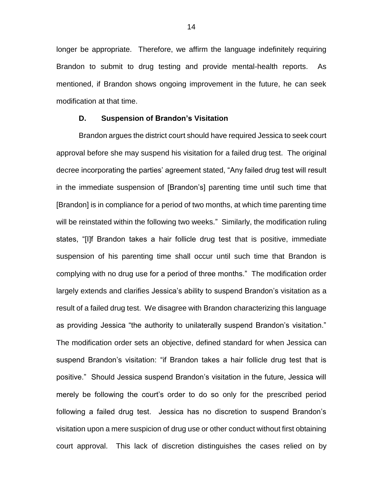longer be appropriate. Therefore, we affirm the language indefinitely requiring Brandon to submit to drug testing and provide mental-health reports. As mentioned, if Brandon shows ongoing improvement in the future, he can seek modification at that time.

### **D. Suspension of Brandon's Visitation**

Brandon argues the district court should have required Jessica to seek court approval before she may suspend his visitation for a failed drug test. The original decree incorporating the parties' agreement stated, "Any failed drug test will result in the immediate suspension of [Brandon's] parenting time until such time that [Brandon] is in compliance for a period of two months, at which time parenting time will be reinstated within the following two weeks." Similarly, the modification ruling states, "[I]f Brandon takes a hair follicle drug test that is positive, immediate suspension of his parenting time shall occur until such time that Brandon is complying with no drug use for a period of three months." The modification order largely extends and clarifies Jessica's ability to suspend Brandon's visitation as a result of a failed drug test. We disagree with Brandon characterizing this language as providing Jessica "the authority to unilaterally suspend Brandon's visitation." The modification order sets an objective, defined standard for when Jessica can suspend Brandon's visitation: "if Brandon takes a hair follicle drug test that is positive." Should Jessica suspend Brandon's visitation in the future, Jessica will merely be following the court's order to do so only for the prescribed period following a failed drug test. Jessica has no discretion to suspend Brandon's visitation upon a mere suspicion of drug use or other conduct without first obtaining court approval. This lack of discretion distinguishes the cases relied on by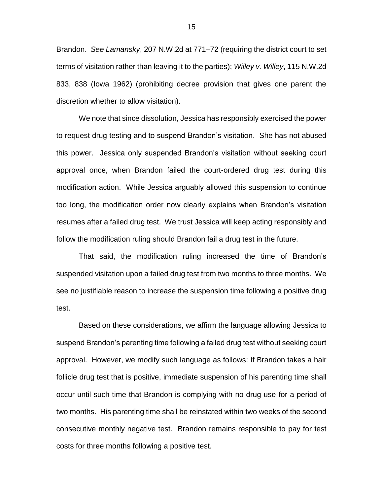Brandon. *See Lamansky*, 207 N.W.2d at 771–72 (requiring the district court to set terms of visitation rather than leaving it to the parties); *Willey v. Willey*, 115 N.W.2d 833, 838 (Iowa 1962) (prohibiting decree provision that gives one parent the discretion whether to allow visitation).

We note that since dissolution, Jessica has responsibly exercised the power to request drug testing and to suspend Brandon's visitation. She has not abused this power. Jessica only suspended Brandon's visitation without seeking court approval once, when Brandon failed the court-ordered drug test during this modification action. While Jessica arguably allowed this suspension to continue too long, the modification order now clearly explains when Brandon's visitation resumes after a failed drug test. We trust Jessica will keep acting responsibly and follow the modification ruling should Brandon fail a drug test in the future.

That said, the modification ruling increased the time of Brandon's suspended visitation upon a failed drug test from two months to three months. We see no justifiable reason to increase the suspension time following a positive drug test.

Based on these considerations, we affirm the language allowing Jessica to suspend Brandon's parenting time following a failed drug test without seeking court approval. However, we modify such language as follows: If Brandon takes a hair follicle drug test that is positive, immediate suspension of his parenting time shall occur until such time that Brandon is complying with no drug use for a period of two months. His parenting time shall be reinstated within two weeks of the second consecutive monthly negative test. Brandon remains responsible to pay for test costs for three months following a positive test.